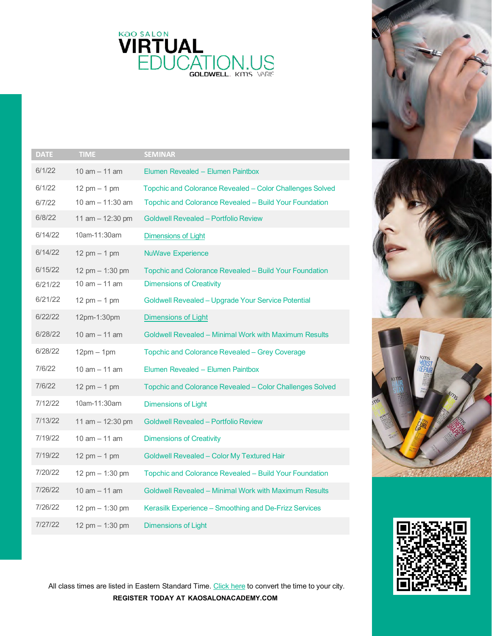

| <b>DATE</b> | <b>TIME</b>        | <b>SEMINAR</b>                                               |
|-------------|--------------------|--------------------------------------------------------------|
| 6/1/22      | 10 $am - 11 am$    | Elumen Revealed - Elumen Paintbox                            |
| 6/1/22      | 12 pm $-$ 1 pm     | Topchic and Colorance Revealed - Color Challenges Solved     |
| 6/7/22      | 10 $am - 11:30 am$ | Topchic and Colorance Revealed - Build Your Foundation       |
| 6/8/22      | 11 am $-$ 12:30 pm | <b>Goldwell Revealed - Portfolio Review</b>                  |
| 6/14/22     | 10am-11:30am       | <b>Dimensions of Light</b>                                   |
| 6/14/22     | 12 pm $-$ 1 pm     | <b>NuWave Experience</b>                                     |
| 6/15/22     | 12 pm $-$ 1:30 pm  | Topchic and Colorance Revealed - Build Your Foundation       |
| 6/21/22     | 10 $am - 11$ am    | <b>Dimensions of Creativity</b>                              |
| 6/21/22     | 12 pm $-$ 1 pm     | Goldwell Revealed - Upgrade Your Service Potential           |
| 6/22/22     | 12pm-1:30pm        | <b>Dimensions of Light</b>                                   |
| 6/28/22     | 10 $am - 11$ am    | Goldwell Revealed - Minimal Work with Maximum Results        |
| 6/28/22     | $12pm - 1pm$       | Topchic and Colorance Revealed - Grey Coverage               |
| 7/6/22      | 10 $am - 11$ am    | Elumen Revealed - Elumen Paintbox                            |
| 7/6/22      | 12 pm $-$ 1 pm     | Topchic and Colorance Revealed - Color Challenges Solved     |
| 7/12/22     | 10am-11:30am       | <b>Dimensions of Light</b>                                   |
| 7/13/22     | 11 am $- 12:30$ pm | <b>Goldwell Revealed - Portfolio Review</b>                  |
| 7/19/22     | 10 $am - 11$ am    | <b>Dimensions of Creativity</b>                              |
| 7/19/22     | 12 pm $-$ 1 pm     | Goldwell Revealed - Color My Textured Hair                   |
| 7/20/22     | 12 pm - 1:30 pm    | Topchic and Colorance Revealed - Build Your Foundation       |
| 7/26/22     | 10 $am - 11 am$    | <b>Goldwell Revealed - Minimal Work with Maximum Results</b> |
| 7/26/22     | 12 pm $- 1:30$ pm  | Kerasilk Experience - Smoothing and De-Frizz Services        |
| 7/27/22     | 12 pm - 1:30 pm    | <b>Dimensions of Light</b>                                   |





All class times are listed in Eastern Standard Time. [Click](https://www.thetimezoneconverter.com/) here to convert the time to your city. **REGISTER TODAY AT KAOSALONACADEMY.COM**